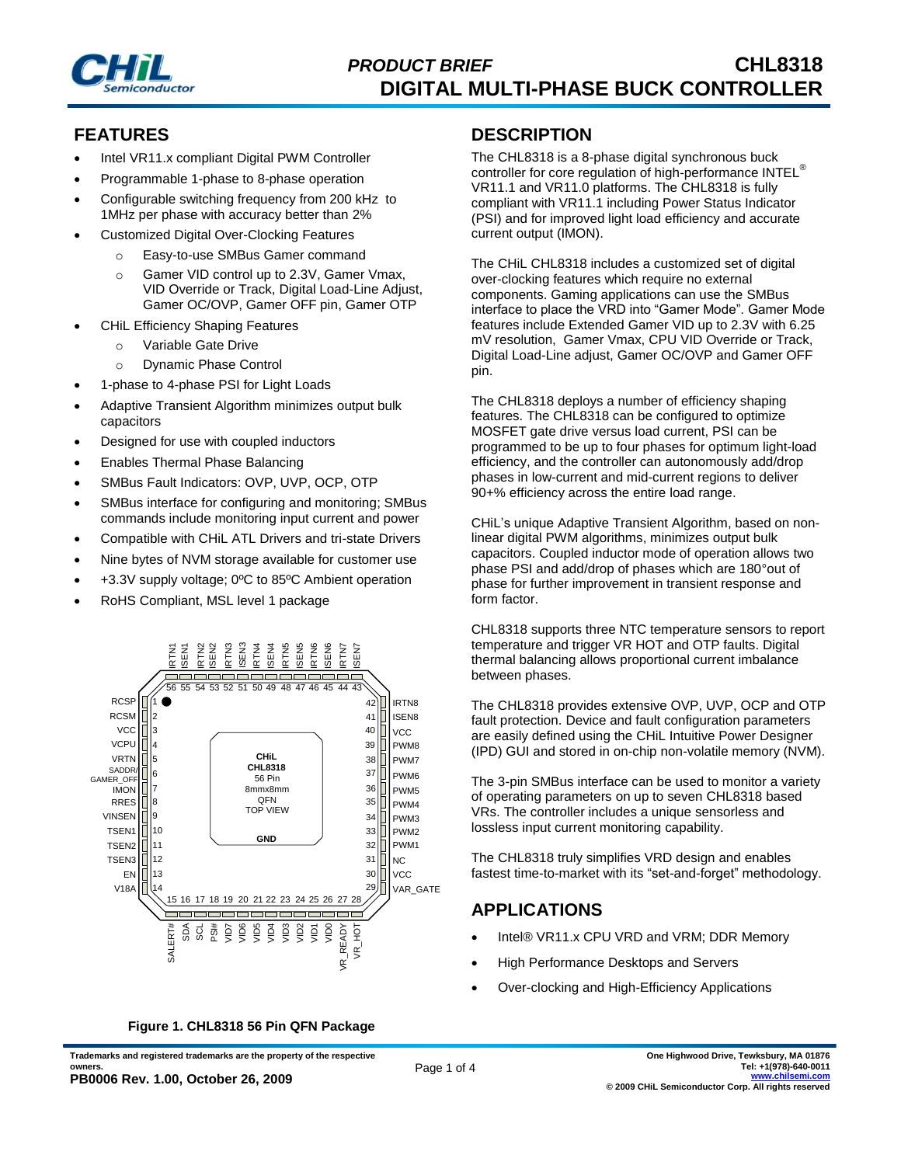

### **FEATURES**

- Intel VR11.x compliant Digital PWM Controller
- Programmable 1-phase to 8-phase operation
- Configurable switching frequency from 200 kHz to 1MHz per phase with accuracy better than 2%
- Customized Digital Over-Clocking Features
	- o Easy-to-use SMBus Gamer command
	- o Gamer VID control up to 2.3V, Gamer Vmax, VID Override or Track, Digital Load-Line Adjust, Gamer OC/OVP, Gamer OFF pin, Gamer OTP
- CHiL Efficiency Shaping Features
	- o Variable Gate Drive
	- o Dynamic Phase Control
- 1-phase to 4-phase PSI for Light Loads
- Adaptive Transient Algorithm minimizes output bulk capacitors
- Designed for use with coupled inductors
- Enables Thermal Phase Balancing
- SMBus Fault Indicators: OVP, UVP, OCP, OTP
- SMBus interface for configuring and monitoring; SMBus commands include monitoring input current and power
- Compatible with CHiL ATL Drivers and tri-state Drivers
- Nine bytes of NVM storage available for customer use
- +3.3V supply voltage; 0ºC to 85ºC Ambient operation
- RoHS Compliant, MSL level 1 package



#### **Figure 1. CHL8318 56 Pin QFN Package**

**Trademarks and registered trademarks are the property of the respective** 

#### **One Highwood Drive, Tewksbury, MA 01876 Tel: +1(978)-640-0011 www.chilsemi.com © 2009 CHiL Semiconductor Corp. All rights reserved**

#### **DESCRIPTION**

The CHL8318 is a 8-phase digital synchronous buck controller for core regulation of high-performance INTEL<sup>®</sup> VR11.1 and VR11.0 platforms. The CHL8318 is fully compliant with VR11.1 including Power Status Indicator (PSI) and for improved light load efficiency and accurate current output (IMON).

The CHiL CHL8318 includes a customized set of digital over-clocking features which require no external components. Gaming applications can use the SMBus interface to place the VRD into "Gamer Mode". Gamer Mode features include Extended Gamer VID up to 2.3V with 6.25 mV resolution, Gamer Vmax, CPU VID Override or Track, Digital Load-Line adjust, Gamer OC/OVP and Gamer OFF pin.

The CHL8318 deploys a number of efficiency shaping features. The CHL8318 can be configured to optimize MOSFET gate drive versus load current, PSI can be programmed to be up to four phases for optimum light-load efficiency, and the controller can autonomously add/drop phases in low-current and mid-current regions to deliver 90+% efficiency across the entire load range.

CHiL's unique Adaptive Transient Algorithm, based on nonlinear digital PWM algorithms, minimizes output bulk capacitors. Coupled inductor mode of operation allows two phase PSI and add/drop of phases which are 180°out of phase for further improvement in transient response and form factor.

CHL8318 supports three NTC temperature sensors to report temperature and trigger VR HOT and OTP faults. Digital thermal balancing allows proportional current imbalance between phases.

The CHL8318 provides extensive OVP, UVP, OCP and OTP fault protection. Device and fault configuration parameters are easily defined using the CHiL Intuitive Power Designer (IPD) GUI and stored in on-chip non-volatile memory (NVM).

The 3-pin SMBus interface can be used to monitor a variety of operating parameters on up to seven CHL8318 based VRs. The controller includes a unique sensorless and lossless input current monitoring capability.

The CHL8318 truly simplifies VRD design and enables fastest time-to-market with its "set-and-forget" methodology.

### **APPLICATIONS**

- Intel® VR11.x CPU VRD and VRM; DDR Memory
- High Performance Desktops and Servers
- Over-clocking and High-Efficiency Applications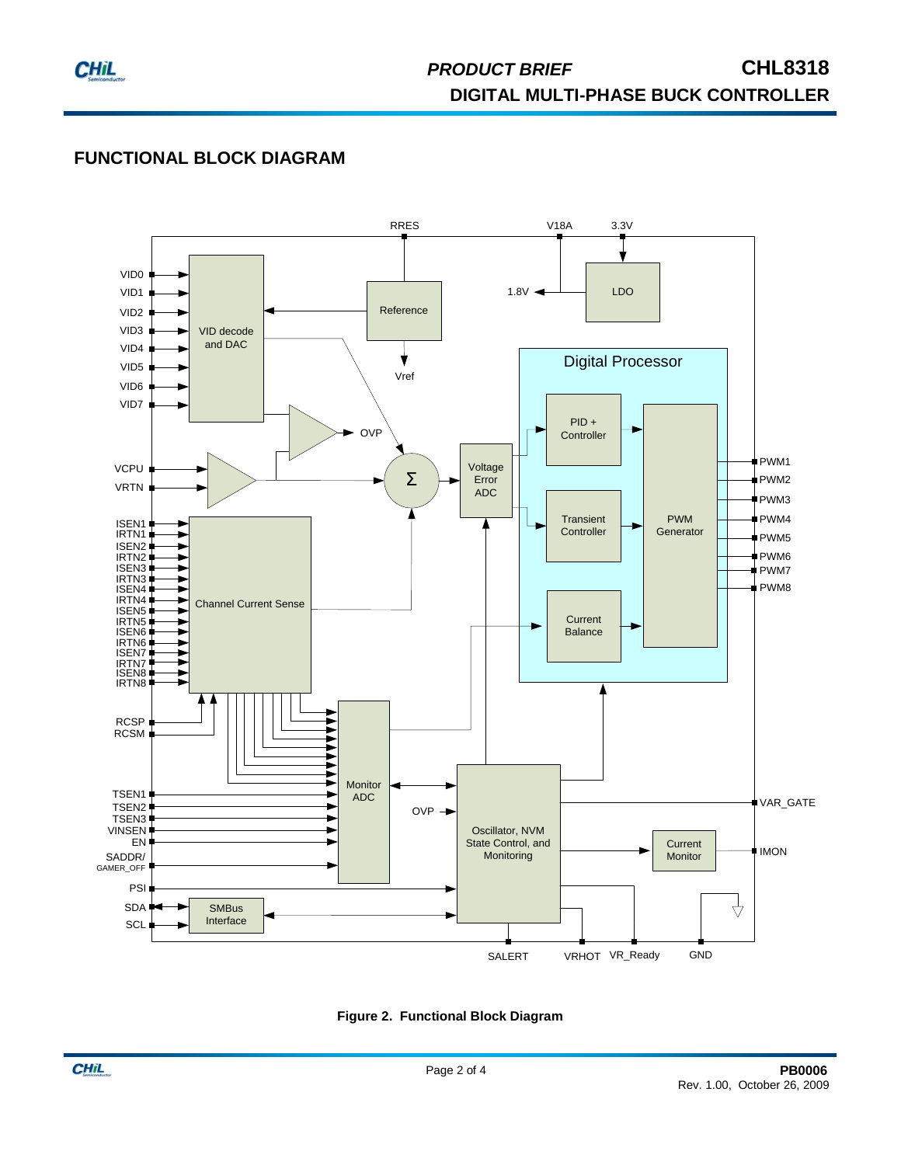

# **FUNCTIONAL BLOCK DIAGRAM**



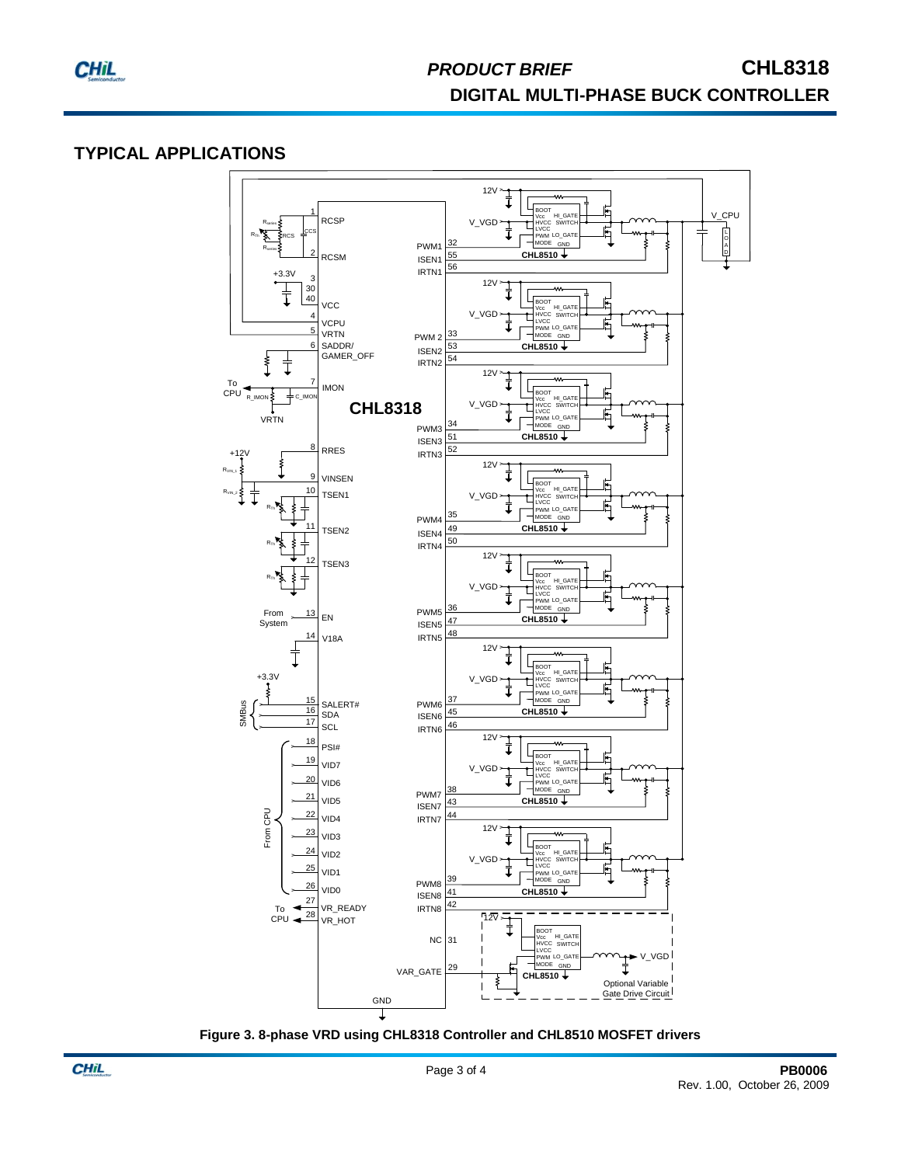

# *PRODUCT BRIEF* **CHL8318 DIGITAL MULTI-PHASE BUCK CONTROLLER**

## **TYPICAL APPLICATIONS**



**Figure 3. 8-phase VRD using CHL8318 Controller and CHL8510 MOSFET drivers**